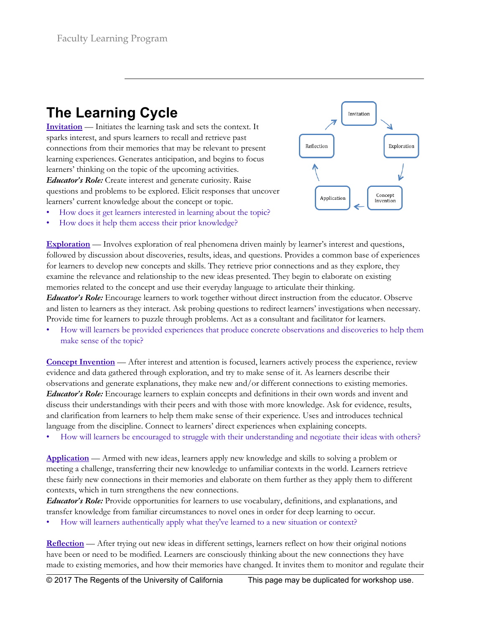## **The Learning Cycle**

**Invitation** — Initiates the learning task and sets the context. It sparks interest, and spurs learners to recall and retrieve past connections from their memories that may be relevant to present learning experiences. Generates anticipation, and begins to focus learners' thinking on the topic of the upcoming activities. *Educator's Role:* Create interest and generate curiosity. Raise questions and problems to be explored. Elicit responses that uncover learners' current knowledge about the concept or topic.



- How does it get learners interested in learning about the topic?
- How does it help them access their prior knowledge?

**Exploration** — Involves exploration of real phenomena driven mainly by learner's interest and questions, followed by discussion about discoveries, results, ideas, and questions. Provides a common base of experiences for learners to develop new concepts and skills. They retrieve prior connections and as they explore, they examine the relevance and relationship to the new ideas presented. They begin to elaborate on existing memories related to the concept and use their everyday language to articulate their thinking. *Educator's Role:* Encourage learners to work together without direct instruction from the educator. Observe

and listen to learners as they interact. Ask probing questions to redirect learners' investigations when necessary. Provide time for learners to puzzle through problems. Act as a consultant and facilitator for learners.

• How will learners be provided experiences that produce concrete observations and discoveries to help them make sense of the topic?

**Concept Invention** — After interest and attention is focused, learners actively process the experience, review evidence and data gathered through exploration, and try to make sense of it. As learners describe their observations and generate explanations, they make new and/or different connections to existing memories. *Educator's Role:* Encourage learners to explain concepts and definitions in their own words and invent and discuss their understandings with their peers and with those with more knowledge. Ask for evidence, results, and clarification from learners to help them make sense of their experience. Uses and introduces technical language from the discipline. Connect to learners' direct experiences when explaining concepts.

• How will learners be encouraged to struggle with their understanding and negotiate their ideas with others?

**Application** — Armed with new ideas, learners apply new knowledge and skills to solving a problem or meeting a challenge, transferring their new knowledge to unfamiliar contexts in the world. Learners retrieve these fairly new connections in their memories and elaborate on them further as they apply them to different contexts, which in turn strengthens the new connections.

*Educator's Role:* Provide opportunities for learners to use vocabulary, definitions, and explanations, and transfer knowledge from familiar circumstances to novel ones in order for deep learning to occur.

• How will learners authentically apply what they've learned to a new situation or context?

**Reflection** — After trying out new ideas in different settings, learners reflect on how their original notions have been or need to be modified. Learners are consciously thinking about the new connections they have made to existing memories, and how their memories have changed. It invites them to monitor and regulate their